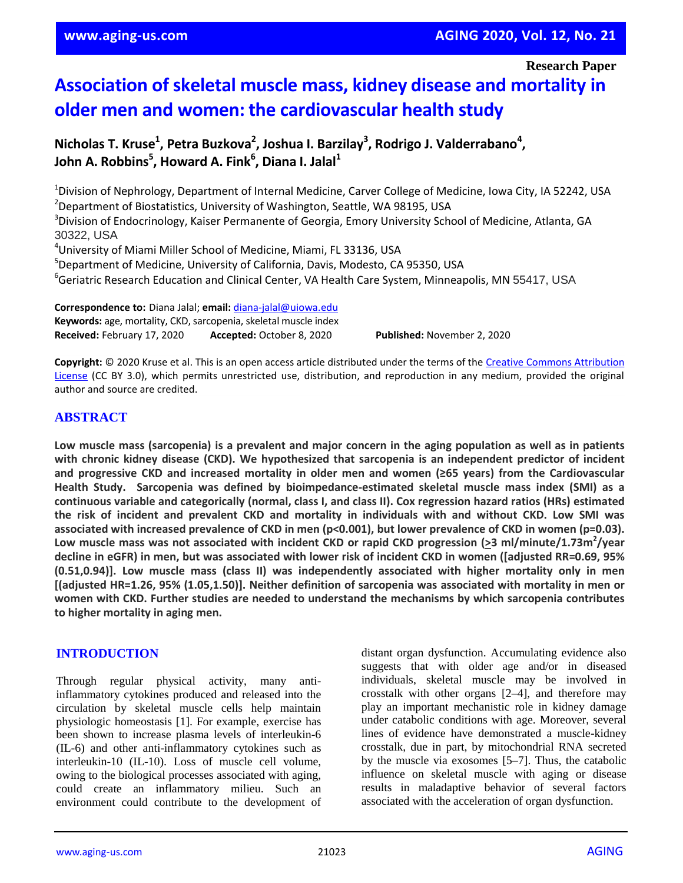**Research Paper**

# **Association of skeletal muscle mass, kidney disease and mortality in older men and women: the cardiovascular health study**

**Nicholas T. Kruse<sup>1</sup> , Petra Buzkova<sup>2</sup> , Joshua I. Barzilay<sup>3</sup> , Rodrigo J. Valderrabano<sup>4</sup> , John A. Robbins<sup>5</sup> , Howard A. Fink<sup>6</sup> , Diana I. Jalal<sup>1</sup>**

<sup>1</sup>Division of Nephrology, Department of Internal Medicine, Carver College of Medicine, Iowa City, IA 52242, USA <sup>2</sup>Department of Biostatistics, University of Washington, Seattle, WA 98195, USA <sup>3</sup>Division of Endocrinology, Kaiser Permanente of Georgia, Emory University School of Medicine, Atlanta, GA 30322, USA <sup>4</sup>University of Miami Miller School of Medicine, Miami, FL 33136, USA

<sup>5</sup>Department of Medicine, University of California, Davis, Modesto, CA 95350, USA <sup>6</sup>Geriatric Research Education and Clinical Center, VA Health Care System, Minneapolis, MN 55417, USA

**Correspondence to:** Diana Jalal; **email:** diana-jalal@uiowa.edu **Keywords:** age, mortality, CKD, sarcopenia, skeletal muscle index **Received:** February 17, 2020 **Accepted:** October 8, 2020 **Published:** November 2, 2020

**Copyright:** © 2020 Kruse et al. This is an open access article distributed under the terms of the Creative Commons Attribution License (CC BY 3.0), which permits unrestricted use, distribution, and reproduction in any medium, provided the original author and source are credited.

# **ABSTRACT**

Low muscle mass (sarcopenia) is a prevalent and major concern in the aging population as well as in patients **with chronic kidney disease (CKD). We hypothesized that sarcopenia is an independent predictor of incident and progressive CKD and increased mortality in older men and women (≥65 years) from the Cardiovascular Health Study. Sarcopenia was defined by bioimpedance-estimated skeletal muscle mass index (SMI) as a** continuous variable and categorically (normal, class I, and class II). Cox regression hazard ratios (HRs) estimated the risk of incident and prevalent CKD and mortality in individuals with and without CKD. Low SMI was associated with increased prevalence of CKD in men (p<0.001), but lower prevalence of CKD in women (p=0.03). **Low muscle mass was not associated with incident CKD or rapid CKD progression (>3 ml/minute/1.73m<sup>2</sup> /year** decline in eGFR) in men, but was associated with lower risk of incident CKD in women ([adjusted RR=0.69, 95% **(0.51,0.94)]. Low muscle mass (class II) was independently associated with higher mortality only in men [(adjusted HR=1.26, 95% (1.05,1.50)]. Neither definition of sarcopenia was associated with mortality in men or women with CKD. Further studies are needed to understand the mechanisms by which sarcopenia contributes to higher mortality in aging men.**

## **INTRODUCTION**

Through regular physical activity, many antiinflammatory cytokines produced and released into the circulation by skeletal muscle cells help maintain physiologic homeostasis [1]. For example, exercise has been shown to increase plasma levels of interleukin-6 (IL-6) and other anti-inflammatory cytokines such as interleukin-10 (IL-10). Loss of muscle cell volume, owing to the biological processes associated with aging, could create an inflammatory milieu. Such an environment could contribute to the development of distant organ dysfunction. Accumulating evidence also suggests that with older age and/or in diseased individuals, skeletal muscle may be involved in crosstalk with other organs [2–4], and therefore may play an important mechanistic role in kidney damage under catabolic conditions with age. Moreover, several lines of evidence have demonstrated a muscle-kidney crosstalk, due in part, by mitochondrial RNA secreted by the muscle via exosomes [5–7]. Thus, the catabolic influence on skeletal muscle with aging or disease results in maladaptive behavior of several factors associated with the acceleration of organ dysfunction.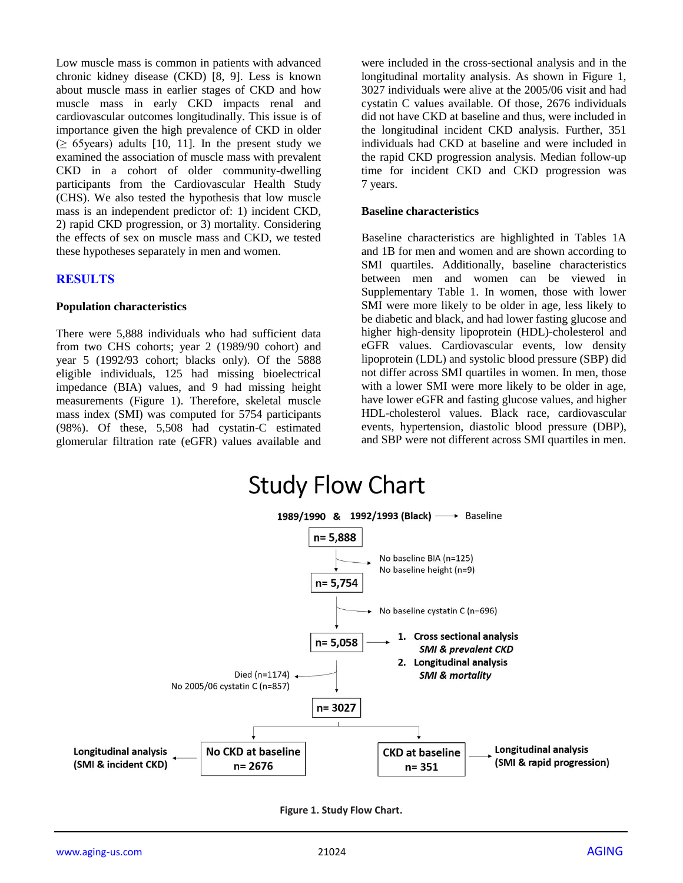Low muscle mass is common in patients with advanced chronic kidney disease (CKD) [8, 9]. Less is known about muscle mass in earlier stages of CKD and how muscle mass in early CKD impacts renal and cardiovascular outcomes longitudinally. This issue is of importance given the high prevalence of CKD in older  $(≥ 65 \text{years})$  adults [10, 11]. In the present study we examined the association of muscle mass with prevalent CKD in a cohort of older community-dwelling participants from the Cardiovascular Health Study (CHS). We also tested the hypothesis that low muscle mass is an independent predictor of: 1) incident CKD, 2) rapid CKD progression, or 3) mortality. Considering the effects of sex on muscle mass and CKD, we tested these hypotheses separately in men and women.

# **RESULTS**

#### **Population characteristics**

There were 5,888 individuals who had sufficient data from two CHS cohorts; year 2 (1989/90 cohort) and year 5 (1992/93 cohort; blacks only). Of the 5888 eligible individuals, 125 had missing bioelectrical impedance (BIA) values, and 9 had missing height measurements (Figure 1). Therefore, skeletal muscle mass index (SMI) was computed for 5754 participants (98%). Of these, 5,508 had cystatin-C estimated glomerular filtration rate (eGFR) values available and

were included in the cross-sectional analysis and in the longitudinal mortality analysis. As shown in Figure 1, 3027 individuals were alive at the 2005/06 visit and had cystatin C values available. Of those, 2676 individuals did not have CKD at baseline and thus, were included in the longitudinal incident CKD analysis. Further, 351 individuals had CKD at baseline and were included in the rapid CKD progression analysis. Median follow-up time for incident CKD and CKD progression was 7 years.

#### **Baseline characteristics**

Baseline characteristics are highlighted in Tables 1A and 1B for men and women and are shown according to SMI quartiles. Additionally, baseline characteristics between men and women can be viewed in Supplementary Table 1. In women, those with lower SMI were more likely to be older in age, less likely to be diabetic and black, and had lower fasting glucose and higher high-density lipoprotein (HDL)-cholesterol and eGFR values. Cardiovascular events, low density lipoprotein (LDL) and systolic blood pressure (SBP) did not differ across SMI quartiles in women. In men, those with a lower SMI were more likely to be older in age, have lower eGFR and fasting glucose values, and higher HDL-cholesterol values. Black race, cardiovascular events, hypertension, diastolic blood pressure (DBP), and SBP were not different across SMI quartiles in men.



**Figure 1. Study Flow Chart.**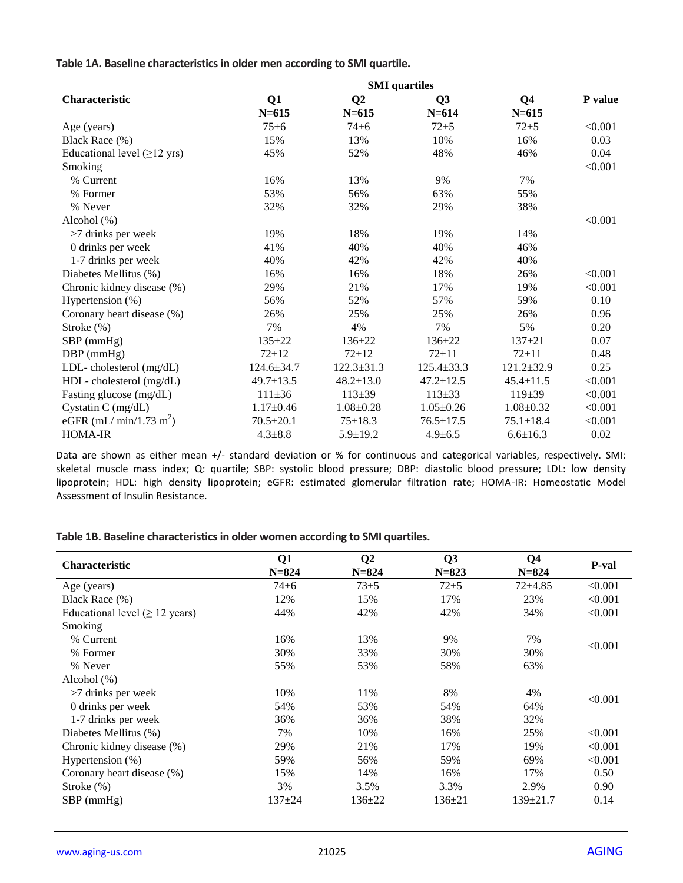**Table 1A. Baseline characteristics in older men according to SMI quartile.**

|                                           | <b>SMI</b> quartiles |                  |                  |                  |         |
|-------------------------------------------|----------------------|------------------|------------------|------------------|---------|
| Characteristic                            | Q1                   | Q <sub>2</sub>   | Q3               | Q <sub>4</sub>   | P value |
|                                           | $N = 615$            | $N = 615$        | $N = 614$        | $N = 615$        |         |
| Age (years)                               | $75 + 6$             | $74\pm 6$        | $72 + 5$         | $72 + 5$         | < 0.001 |
| Black Race (%)                            | 15%                  | 13%              | 10%              | 16%              | 0.03    |
| Educational level $(\geq 12 \text{ yrs})$ | 45%                  | 52%              | 48%              | 46%              | 0.04    |
| Smoking                                   |                      |                  |                  |                  | < 0.001 |
| % Current                                 | 16%                  | 13%              | 9%               | 7%               |         |
| % Former                                  | 53%                  | 56%              | 63%              | 55%              |         |
| % Never                                   | 32%                  | 32%              | 29%              | 38%              |         |
| Alcohol $(\%)$                            |                      |                  |                  |                  | < 0.001 |
| $>7$ drinks per week                      | 19%                  | 18%              | 19%              | 14%              |         |
| 0 drinks per week                         | 41%                  | 40%              | 40%              | 46%              |         |
| 1-7 drinks per week                       | 40%                  | 42%              | 42%              | 40%              |         |
| Diabetes Mellitus (%)                     | 16%                  | 16%              | 18%              | 26%              | < 0.001 |
| Chronic kidney disease (%)                | 29%                  | 21%              | 17%              | 19%              | < 0.001 |
| Hypertension (%)                          | 56%                  | 52%              | 57%              | 59%              | 0.10    |
| Coronary heart disease (%)                | 26%                  | 25%              | 25%              | 26%              | 0.96    |
| Stroke $(\%)$                             | 7%                   | 4%               | 7%               | 5%               | 0.20    |
| $SBP$ (mmHg)                              | $135 + 22$           | $136 \pm 22$     | $136 \pm 22$     | $137 + 21$       | 0.07    |
| $DBP$ (mmHg)                              | $72 + 12$            | $72 + 12$        | $72 + 11$        | $72 + 11$        | 0.48    |
| LDL-cholesterol (mg/dL)                   | $124.6 \pm 34.7$     | $122.3 \pm 31.3$ | $125.4 \pm 33.3$ | $121.2 \pm 32.9$ | 0.25    |
| HDL-cholesterol (mg/dL)                   | $49.7 \pm 13.5$      | $48.2 \pm 13.0$  | $47.2 \pm 12.5$  | $45.4 \pm 11.5$  | < 0.001 |
| Fasting glucose (mg/dL)                   | $111 \pm 36$         | $113 \pm 39$     | $113 + 33$       | $119+39$         | < 0.001 |
| Cystatin C (mg/dL)                        | $1.17 \pm 0.46$      | $1.08 \pm 0.28$  | $1.05 \pm 0.26$  | $1.08 \pm 0.32$  | < 0.001 |
| eGFR (mL/ min/1.73 m <sup>2</sup> )       | $70.5 \pm 20.1$      | $75 \pm 18.3$    | $76.5 \pm 17.5$  | $75.1 \pm 18.4$  | < 0.001 |
| <b>HOMA-IR</b>                            | $4.3 \pm 8.8$        | $5.9 \pm 19.2$   | $4.9 \pm 6.5$    | $6.6 \pm 16.3$   | 0.02    |

Data are shown as either mean +/- standard deviation or % for continuous and categorical variables, respectively. SMI: skeletal muscle mass index; Q: quartile; SBP: systolic blood pressure; DBP: diastolic blood pressure; LDL: low density lipoprotein; HDL: high density lipoprotein; eGFR: estimated glomerular filtration rate; HOMA-IR: Homeostatic Model Assessment of Insulin Resistance.

### **Table 1B. Baseline characteristics in older women according to SMI quartiles.**

| <b>Characteristic</b>                | Q1<br>$N = 824$ | $\mathbf{Q}$<br>$N = 824$ | Q3<br>$N = 823$ | Q4<br>$N = 824$ | P-val   |
|--------------------------------------|-----------------|---------------------------|-----------------|-----------------|---------|
| Age (years)                          | $74 \pm 6$      | $73 + 5$                  | $72 + 5$        | $72 + 4.85$     | < 0.001 |
| Black Race (%)                       | 12%             | 15%                       | 17%             | 23%             | < 0.001 |
| Educational level ( $\geq$ 12 years) | 44%             | 42%                       | 42%             | 34%             | < 0.001 |
| Smoking                              |                 |                           |                 |                 |         |
| % Current                            | 16%             | 13%                       | 9%              | 7%              | < 0.001 |
| % Former                             | 30%             | 33%                       | 30%             | 30%             |         |
| % Never                              | 55%             | 53%                       | 58%             | 63%             |         |
| Alcohol $(\%)$                       |                 |                           |                 |                 |         |
| $>7$ drinks per week                 | 10%             | 11%                       | 8%              | 4%              | < 0.001 |
| 0 drinks per week                    | 54%             | 53%                       | 54%             | 64%             |         |
| 1-7 drinks per week                  | 36%             | 36%                       | 38%             | 32%             |         |
| Diabetes Mellitus (%)                | 7%              | 10%                       | 16%             | 25%             | < 0.001 |
| Chronic kidney disease (%)           | 29%             | 21%                       | 17%             | 19%             | < 0.001 |
| Hypertension $(\%)$                  | 59%             | 56%                       | 59%             | 69%             | < 0.001 |
| Coronary heart disease (%)           | 15%             | 14%                       | 16%             | 17%             | 0.50    |
| Stroke $(\%)$                        | 3%              | 3.5%                      | 3.3%            | 2.9%            | 0.90    |
| $SBP$ (mmHg)                         | $137 + 24$      | $136 \pm 22$              | $136 \pm 21$    | 139±21.7        | 0.14    |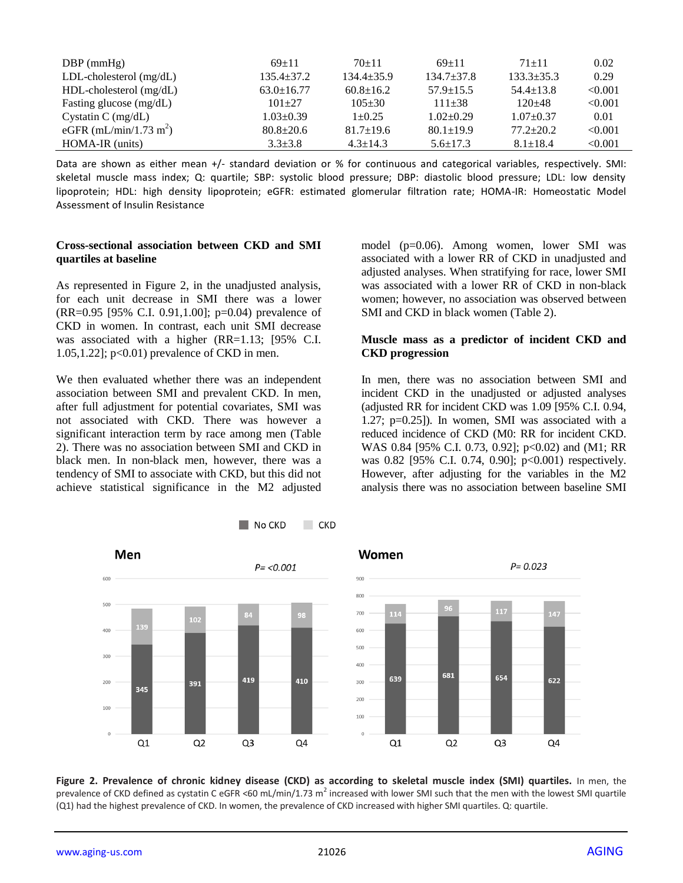| $DBP$ (mmHg)                       | $69+11$          | $70+11$         | $69+11$         | $71 + 11$       | 0.02    |
|------------------------------------|------------------|-----------------|-----------------|-----------------|---------|
| $LDL$ -cholesterol (mg/dL)         | $135.4 \pm 37.2$ | $134.4+35.9$    | $134.7 + 37.8$  | $133.3+35.3$    | 0.29    |
| $HDL$ -cholesterol (mg/dL)         | $63.0 \pm 16.77$ | $60.8 \pm 16.2$ | $57.9 \pm 15.5$ | $54.4 \pm 13.8$ | < 0.001 |
| Fasting glucose (mg/dL)            | $101 + 27$       | $105 + 30$      | $111 + 38$      | $120+48$        | < 0.001 |
| Cystatin C $(mg/dL)$               | $1.03 \pm 0.39$  | $1+0.25$        | $1.02+0.29$     | $1.07+0.37$     | 0.01    |
| eGFR (mL/min/1.73 m <sup>2</sup> ) | $80.8 \pm 20.6$  | $81.7 \pm 19.6$ | $80.1 \pm 19.9$ | $77.2 \pm 20.2$ | < 0.001 |
| HOMA-IR (units)                    | $3.3 + 3.8$      | $4.3 \pm 14.3$  | $5.6 \pm 17.3$  | $8.1 \pm 18.4$  | < 0.001 |

Data are shown as either mean +/- standard deviation or % for continuous and categorical variables, respectively. SMI: skeletal muscle mass index; Q: quartile; SBP: systolic blood pressure; DBP: diastolic blood pressure; LDL: low density lipoprotein; HDL: high density lipoprotein; eGFR: estimated glomerular filtration rate; HOMA-IR: Homeostatic Model Assessment of Insulin Resistance

#### **Cross-sectional association between CKD and SMI quartiles at baseline**

As represented in Figure 2, in the unadjusted analysis, for each unit decrease in SMI there was a lower (RR=0.95 [95% C.I. 0.91,1.00]; p=0.04) prevalence of CKD in women. In contrast, each unit SMI decrease was associated with a higher (RR=1.13; [95% C.I. 1.05,1.22]; p<0.01) prevalence of CKD in men.

We then evaluated whether there was an independent association between SMI and prevalent CKD. In men, after full adjustment for potential covariates, SMI was not associated with CKD. There was however a significant interaction term by race among men (Table 2). There was no association between SMI and CKD in black men. In non-black men, however, there was a tendency of SMI to associate with CKD, but this did not achieve statistical significance in the M2 adjusted model (p=0.06). Among women, lower SMI was associated with a lower RR of CKD in unadjusted and adjusted analyses. When stratifying for race, lower SMI was associated with a lower RR of CKD in non-black women; however, no association was observed between SMI and CKD in black women (Table 2).

#### **Muscle mass as a predictor of incident CKD and CKD progression**

In men, there was no association between SMI and incident CKD in the unadjusted or adjusted analyses (adjusted RR for incident CKD was 1.09 [95% C.I. 0.94, 1.27; p=0.25]). In women, SMI was associated with a reduced incidence of CKD (M0: RR for incident CKD. WAS 0.84 [95% C.I. 0.73, 0.92]; p<0.02) and (M1; RR was 0.82 [95% C.I. 0.74, 0.90]; p<0.001) respectively. However, after adjusting for the variables in the M2 analysis there was no association between baseline SMI



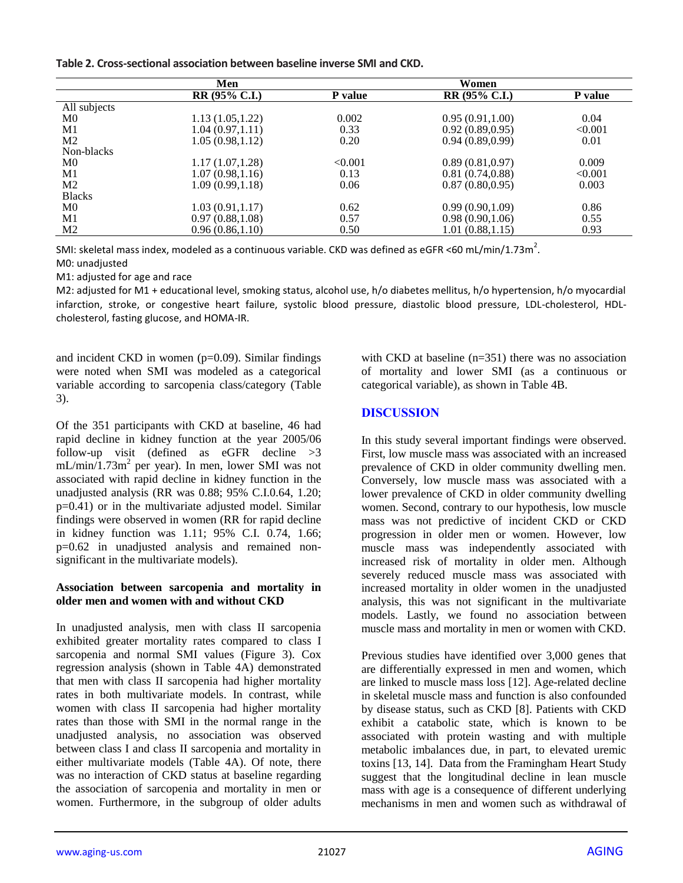**Table 2. Cross-sectional association between baseline inverse SMI and CKD.** 

|                | Men                  |                | Women                      |         |
|----------------|----------------------|----------------|----------------------------|---------|
|                | <b>RR (95% C.I.)</b> | <b>P</b> value | $\overline{RR}$ (95% C.I.) | P value |
| All subjects   |                      |                |                            |         |
| M0             | 1.13(1.05, 1.22)     | 0.002          | 0.95(0.91, 1.00)           | 0.04    |
| M1             | 1.04(0.97, 1.11)     | 0.33           | 0.92(0.89, 0.95)           | < 0.001 |
| M <sub>2</sub> | 1.05(0.98, 1.12)     | 0.20           | 0.94(0.89, 0.99)           | 0.01    |
| Non-blacks     |                      |                |                            |         |
| M <sub>0</sub> | 1.17(1.07, 1.28)     | < 0.001        | 0.89(0.81, 0.97)           | 0.009   |
| M1             | 1.07(0.98, 1.16)     | 0.13           | 0.81(0.74, 0.88)           | < 0.001 |
| M <sub>2</sub> | 1.09(0.99, 1.18)     | 0.06           | 0.87(0.80, 0.95)           | 0.003   |
| <b>Blacks</b>  |                      |                |                            |         |
| M <sub>0</sub> | 1.03(0.91, 1.17)     | 0.62           | 0.99(0.90, 1.09)           | 0.86    |
| M1             | 0.97(0.88, 1.08)     | 0.57           | 0.98(0.90, 1.06)           | 0.55    |
| M <sub>2</sub> | 0.96(0.86, 1.10)     | 0.50           | 1.01(0.88, 1.15)           | 0.93    |

SMI: skeletal mass index, modeled as a continuous variable. CKD was defined as eGFR <60 mL/min/1.73m<sup>2</sup>.

M0: unadjusted

M1: adjusted for age and race

M2: adjusted for M1 + educational level, smoking status, alcohol use, h/o diabetes mellitus, h/o hypertension, h/o myocardial infarction, stroke, or congestive heart failure, systolic blood pressure, diastolic blood pressure, LDL-cholesterol, HDLcholesterol, fasting glucose, and HOMA-IR.

and incident CKD in women  $(p=0.09)$ . Similar findings were noted when SMI was modeled as a categorical variable according to sarcopenia class/category (Table 3).

Of the 351 participants with CKD at baseline, 46 had rapid decline in kidney function at the year 2005/06 follow-up visit (defined as eGFR decline >3  $mL/min/1.73m<sup>2</sup>$  per year). In men, lower SMI was not associated with rapid decline in kidney function in the unadjusted analysis (RR was 0.88; 95% C.I.0.64, 1.20; p=0.41) or in the multivariate adjusted model. Similar findings were observed in women (RR for rapid decline in kidney function was 1.11; 95% C.I. 0.74, 1.66; p=0.62 in unadjusted analysis and remained nonsignificant in the multivariate models).

## **Association between sarcopenia and mortality in older men and women with and without CKD**

In unadjusted analysis, men with class II sarcopenia exhibited greater mortality rates compared to class I sarcopenia and normal SMI values (Figure 3). Cox regression analysis (shown in Table 4A) demonstrated that men with class II sarcopenia had higher mortality rates in both multivariate models. In contrast, while women with class II sarcopenia had higher mortality rates than those with SMI in the normal range in the unadjusted analysis, no association was observed between class I and class II sarcopenia and mortality in either multivariate models (Table 4A). Of note, there was no interaction of CKD status at baseline regarding the association of sarcopenia and mortality in men or women. Furthermore, in the subgroup of older adults with CKD at baseline (n=351) there was no association of mortality and lower SMI (as a continuous or categorical variable), as shown in Table 4B.

# **DISCUSSION**

In this study several important findings were observed. First, low muscle mass was associated with an increased prevalence of CKD in older community dwelling men. Conversely, low muscle mass was associated with a lower prevalence of CKD in older community dwelling women. Second, contrary to our hypothesis, low muscle mass was not predictive of incident CKD or CKD progression in older men or women. However, low muscle mass was independently associated with increased risk of mortality in older men. Although severely reduced muscle mass was associated with increased mortality in older women in the unadjusted analysis, this was not significant in the multivariate models. Lastly, we found no association between muscle mass and mortality in men or women with CKD.

Previous studies have identified over 3,000 genes that are differentially expressed in men and women, which are linked to muscle mass loss [12]. Age-related decline in skeletal muscle mass and function is also confounded by disease status, such as CKD [8]. Patients with CKD exhibit a catabolic state, which is known to be associated with protein wasting and with multiple metabolic imbalances due, in part, to elevated uremic toxins [13, 14]. Data from the Framingham Heart Study suggest that the longitudinal decline in lean muscle mass with age is a consequence of different underlying mechanisms in men and women such as withdrawal of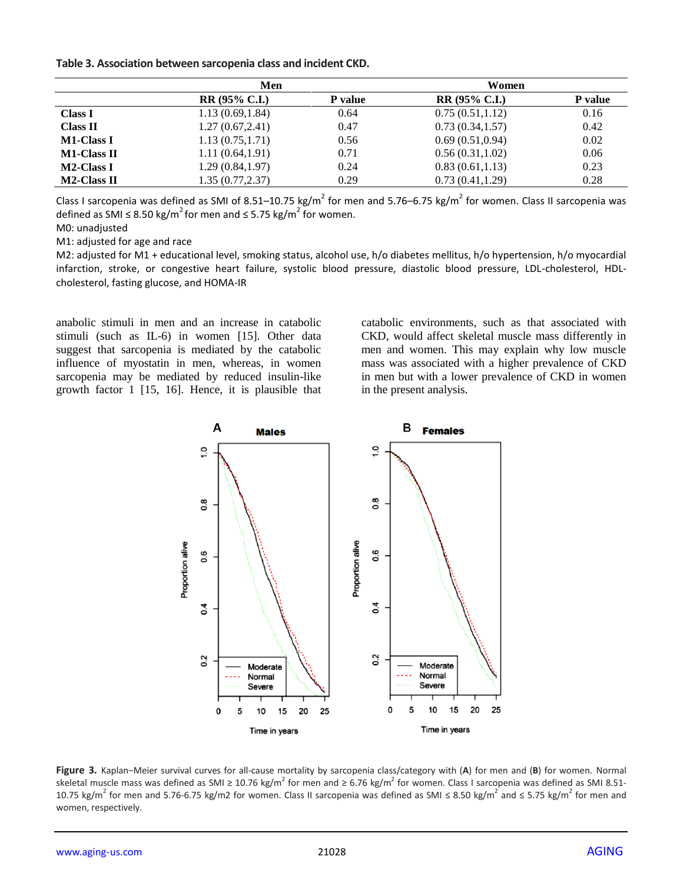**Table 3. Association between sarcopenia class and incident CKD.**

|                    | Men                  |                | Women            |         |
|--------------------|----------------------|----------------|------------------|---------|
|                    | <b>RR (95% C.I.)</b> | <b>P</b> value | $RR(95\% C.I.)$  | P value |
| <b>Class I</b>     | 1.13(0.69, 1.84)     | 0.64           | 0.75(0.51, 1.12) | 0.16    |
| <b>Class II</b>    | 1.27(0.67, 2.41)     | 0.47           | 0.73(0.34, 1.57) | 0.42    |
| <b>M1-Class I</b>  | 1.13(0.75, 1.71)     | 0.56           | 0.69(0.51, 0.94) | 0.02    |
| <b>M1-Class II</b> | 1.11(0.64, 1.91)     | 0.71           | 0.56(0.31, 1.02) | 0.06    |
| <b>M2-Class I</b>  | 1.29(0.84, 1.97)     | 0.24           | 0.83(0.61, 1.13) | 0.23    |
| <b>M2-Class II</b> | 1.35(0.77, 2.37)     | 0.29           | 0.73(0.41, 1.29) | 0.28    |

Class I sarcopenia was defined as SMI of 8.51–10.75 kg/m<sup>2</sup> for men and 5.76–6.75 kg/m<sup>2</sup> for women. Class II sarcopenia was defined as SMI ≤ 8.50 kg/m<sup>2</sup> for men and ≤ 5.75 kg/m<sup>2</sup> for women.

M0: unadjusted

M1: adjusted for age and race

M2: adjusted for M1 + educational level, smoking status, alcohol use, h/o diabetes mellitus, h/o hypertension, h/o myocardial infarction, stroke, or congestive heart failure, systolic blood pressure, diastolic blood pressure, LDL-cholesterol, HDLcholesterol, fasting glucose, and HOMA-IR

anabolic stimuli in men and an increase in catabolic stimuli (such as IL-6) in women [15]. Other data suggest that sarcopenia is mediated by the catabolic influence of myostatin in men, whereas, in women sarcopenia may be mediated by reduced insulin-like growth factor 1 [15, 16]. Hence, it is plausible that catabolic environments, such as that associated with CKD, would affect skeletal muscle mass differently in men and women. This may explain why low muscle mass was associated with a higher prevalence of CKD in men but with a lower prevalence of CKD in women in the present analysis.



**Figure 3.** Kaplan−Meier survival curves for all-cause mortality by sarcopenia class/category with (**A**) for men and (**B**) for women. Normal skeletal muscle mass was defined as SMI ≥ 10.76 kg/m<sup>2</sup> for men and ≥ 6.76 kg/m<sup>2</sup> for women. Class I sarcopenia was defined as SMI 8.51-10.75 kg/m<sup>2</sup> for men and 5.76-6.75 kg/m2 for women. Class II sarcopenia was defined as SMI ≤ 8.50 kg/m<sup>2</sup> and ≤ 5.75 kg/m<sup>2</sup> for men and women, respectively.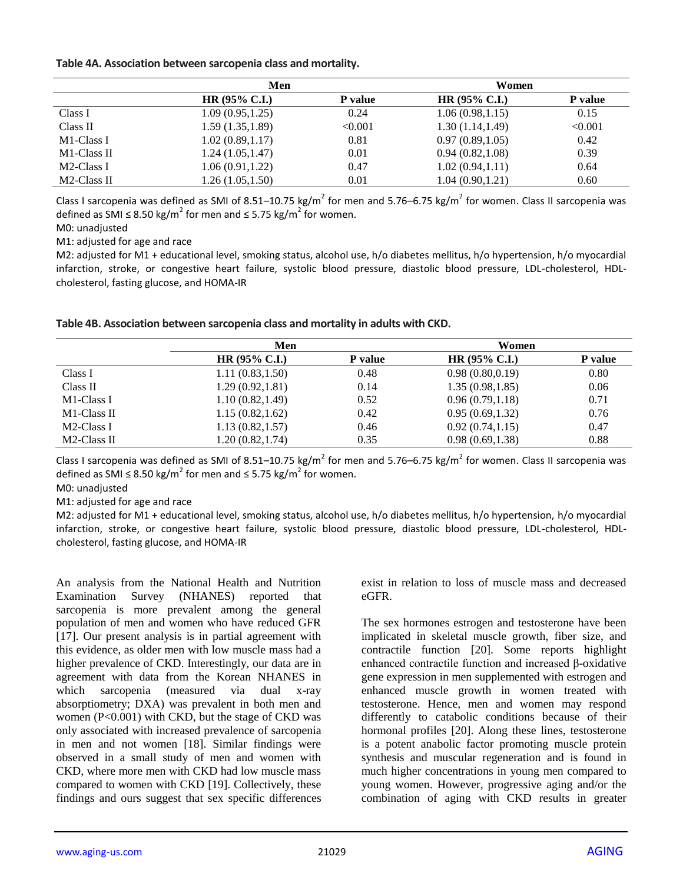#### **Table 4A. Association between sarcopenia class and mortality.**

|             | Men                      |                | Women            |                |  |
|-------------|--------------------------|----------------|------------------|----------------|--|
|             | HR $(95\% \text{ C.I.})$ | <b>P</b> value | $HR (95\% C.I.)$ | <b>P</b> value |  |
| Class I     | 1.09(0.95, 1.25)         | 0.24           | 1.06(0.98, 1.15) | 0.15           |  |
| Class II    | 1.59(1.35, 1.89)         | < 0.001        | 1.30(1.14, 1.49) | < 0.001        |  |
| M1-Class I  | 1.02(0.89, 1.17)         | 0.81           | 0.97(0.89, 1.05) | 0.42           |  |
| M1-Class II | 1.24(1.05, 1.47)         | 0.01           | 0.94(0.82, 1.08) | 0.39           |  |
| M2-Class I  | 1.06(0.91, 1.22)         | 0.47           | 1.02(0.94, 1.11) | 0.64           |  |
| M2-Class II | 1.26 (1.05,1.50)         | 0.01           | 1.04(0.90, 1.21) | 0.60           |  |

Class I sarcopenia was defined as SMI of 8.51–10.75 kg/m<sup>2</sup> for men and 5.76–6.75 kg/m<sup>2</sup> for women. Class II sarcopenia was defined as SMI  $\leq$  8.50 kg/m<sup>2</sup> for men and  $\leq$  5.75 kg/m<sup>2</sup> for women.

M0: unadjusted

M1: adjusted for age and race

M2: adjusted for M1 + educational level, smoking status, alcohol use, h/o diabetes mellitus, h/o hypertension, h/o myocardial infarction, stroke, or congestive heart failure, systolic blood pressure, diastolic blood pressure, LDL-cholesterol, HDLcholesterol, fasting glucose, and HOMA-IR

| Table 4B. Association between sarcopenia class and mortality in adults with CKD. |  |
|----------------------------------------------------------------------------------|--|
|----------------------------------------------------------------------------------|--|

|             | Men                      |                |                          |         |  |
|-------------|--------------------------|----------------|--------------------------|---------|--|
|             | HR $(95\% \text{ C.I.})$ | <b>P</b> value | HR $(95\% \text{ C.I.})$ | P value |  |
| Class I     | 1.11(0.83, 1.50)         | 0.48           | 0.98(0.80, 0.19)         | 0.80    |  |
| Class II    | 1.29(0.92, 1.81)         | 0.14           | 1.35(0.98, 1.85)         | 0.06    |  |
| M1-Class I  | 1.10(0.82, 1.49)         | 0.52           | 0.96(0.79, 1.18)         | 0.71    |  |
| M1-Class II | 1.15(0.82, 1.62)         | 0.42           | 0.95(0.69, 1.32)         | 0.76    |  |
| M2-Class I  | 1.13(0.82, 1.57)         | 0.46           | 0.92(0.74, 1.15)         | 0.47    |  |
| M2-Class II | 1.20(0.82, 1.74)         | 0.35           | 0.98(0.69, 1.38)         | 0.88    |  |

Class I sarcopenia was defined as SMI of 8.51–10.75 kg/m<sup>2</sup> for men and 5.76–6.75 kg/m<sup>2</sup> for women. Class II sarcopenia was defined as SMI  $\leq$  8.50 kg/m<sup>2</sup> for men and  $\leq$  5.75 kg/m<sup>2</sup> for women.

M0: unadjusted

M1: adjusted for age and race

M2: adjusted for M1 + educational level, smoking status, alcohol use, h/o diabetes mellitus, h/o hypertension, h/o myocardial infarction, stroke, or congestive heart failure, systolic blood pressure, diastolic blood pressure, LDL-cholesterol, HDLcholesterol, fasting glucose, and HOMA-IR

An analysis from the National Health and Nutrition Examination Survey (NHANES) reported that sarcopenia is more prevalent among the general population of men and women who have reduced GFR [17]. Our present analysis is in partial agreement with this evidence, as older men with low muscle mass had a higher prevalence of CKD. Interestingly, our data are in agreement with data from the Korean NHANES in which sarcopenia (measured via dual x-ray absorptiometry; DXA) was prevalent in both men and women (P<0.001) with CKD, but the stage of CKD was only associated with increased prevalence of sarcopenia in men and not women [18]. Similar findings were observed in a small study of men and women with CKD, where more men with CKD had low muscle mass compared to women with CKD [19]. Collectively, these findings and ours suggest that sex specific differences

exist in relation to loss of muscle mass and decreased eGFR.

The sex hormones estrogen and testosterone have been implicated in skeletal muscle growth, fiber size, and contractile function [20]. Some reports highlight enhanced contractile function and increased β-oxidative gene expression in men supplemented with estrogen and enhanced muscle growth in women treated with testosterone. Hence, men and women may respond differently to catabolic conditions because of their hormonal profiles [20]. Along these lines, testosterone is a potent anabolic factor promoting muscle protein synthesis and muscular regeneration and is found in much higher concentrations in young men compared to young women. However, progressive aging and/or the combination of aging with CKD results in greater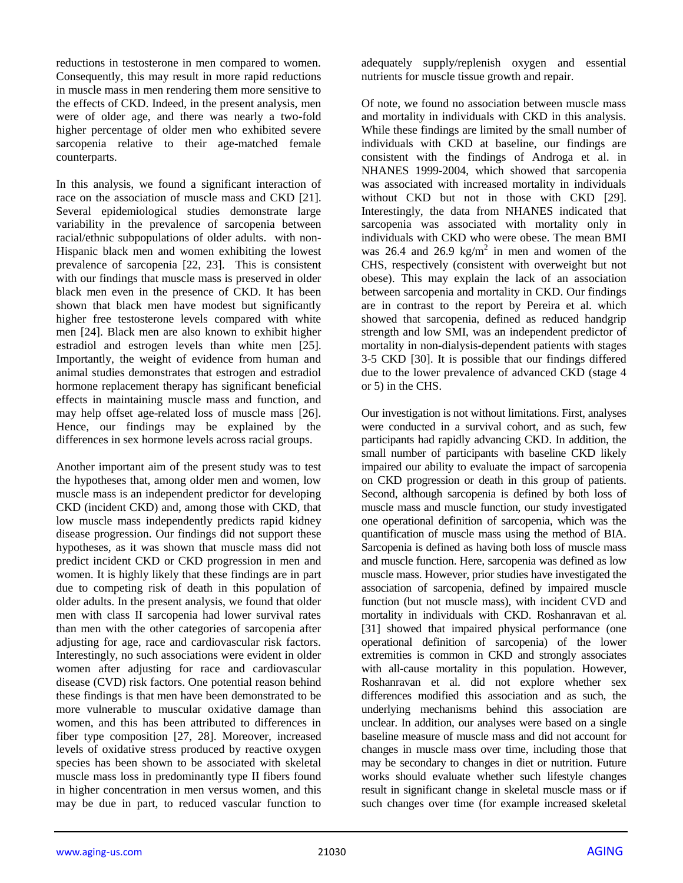reductions in testosterone in men compared to women. Consequently, this may result in more rapid reductions in muscle mass in men rendering them more sensitive to the effects of CKD. Indeed, in the present analysis, men were of older age, and there was nearly a two-fold higher percentage of older men who exhibited severe sarcopenia relative to their age-matched female counterparts.

In this analysis, we found a significant interaction of race on the association of muscle mass and CKD [21]. Several epidemiological studies demonstrate large variability in the prevalence of sarcopenia between racial/ethnic subpopulations of older adults. with non-Hispanic black men and women exhibiting the lowest prevalence of sarcopenia [22, 23]. This is consistent with our findings that muscle mass is preserved in older black men even in the presence of CKD. It has been shown that black men have modest but significantly higher free testosterone levels compared with white men [24]. Black men are also known to exhibit higher estradiol and estrogen levels than white men [25]. Importantly, the weight of evidence from human and animal studies demonstrates that estrogen and estradiol hormone replacement therapy has significant beneficial effects in maintaining muscle mass and function, and may help offset age-related loss of muscle mass [26]. Hence, our findings may be explained by the differences in sex hormone levels across racial groups.

Another important aim of the present study was to test the hypotheses that, among older men and women, low muscle mass is an independent predictor for developing CKD (incident CKD) and, among those with CKD, that low muscle mass independently predicts rapid kidney disease progression. Our findings did not support these hypotheses, as it was shown that muscle mass did not predict incident CKD or CKD progression in men and women. It is highly likely that these findings are in part due to competing risk of death in this population of older adults. In the present analysis, we found that older men with class II sarcopenia had lower survival rates than men with the other categories of sarcopenia after adjusting for age, race and cardiovascular risk factors. Interestingly, no such associations were evident in older women after adjusting for race and cardiovascular disease (CVD) risk factors. One potential reason behind these findings is that men have been demonstrated to be more vulnerable to muscular oxidative damage than women, and this has been attributed to differences in fiber type composition [27, 28]. Moreover, increased levels of oxidative stress produced by reactive oxygen species has been shown to be associated with skeletal muscle mass loss in predominantly type II fibers found in higher concentration in men versus women, and this may be due in part, to reduced vascular function to

adequately supply/replenish oxygen and essential nutrients for muscle tissue growth and repair.

Of note, we found no association between muscle mass and mortality in individuals with CKD in this analysis. While these findings are limited by the small number of individuals with CKD at baseline, our findings are consistent with the findings of Androga et al. in NHANES 1999-2004, which showed that sarcopenia was associated with increased mortality in individuals without CKD but not in those with CKD [29]. Interestingly, the data from NHANES indicated that sarcopenia was associated with mortality only in individuals with CKD who were obese. The mean BMI was 26.4 and 26.9 kg/m<sup>2</sup> in men and women of the CHS, respectively (consistent with overweight but not obese). This may explain the lack of an association between sarcopenia and mortality in CKD. Our findings are in contrast to the report by Pereira et al. which showed that sarcopenia, defined as reduced handgrip strength and low SMI, was an independent predictor of mortality in non-dialysis-dependent patients with stages 3-5 CKD [30]. It is possible that our findings differed due to the lower prevalence of advanced CKD (stage 4 or 5) in the CHS.

Our investigation is not without limitations. First, analyses were conducted in a survival cohort, and as such, few participants had rapidly advancing CKD. In addition, the small number of participants with baseline CKD likely impaired our ability to evaluate the impact of sarcopenia on CKD progression or death in this group of patients. Second, although sarcopenia is defined by both loss of muscle mass and muscle function, our study investigated one operational definition of sarcopenia, which was the quantification of muscle mass using the method of BIA. Sarcopenia is defined as having both loss of muscle mass and muscle function. Here, sarcopenia was defined as low muscle mass. However, prior studies have investigated the association of sarcopenia, defined by impaired muscle function (but not muscle mass), with incident CVD and mortality in individuals with CKD. Roshanravan et al. [31] showed that impaired physical performance (one operational definition of sarcopenia) of the lower extremities is common in CKD and strongly associates with all-cause mortality in this population. However, Roshanravan et al. did not explore whether sex differences modified this association and as such, the underlying mechanisms behind this association are unclear. In addition, our analyses were based on a single baseline measure of muscle mass and did not account for changes in muscle mass over time, including those that may be secondary to changes in diet or nutrition. Future works should evaluate whether such lifestyle changes result in significant change in skeletal muscle mass or if such changes over time (for example increased skeletal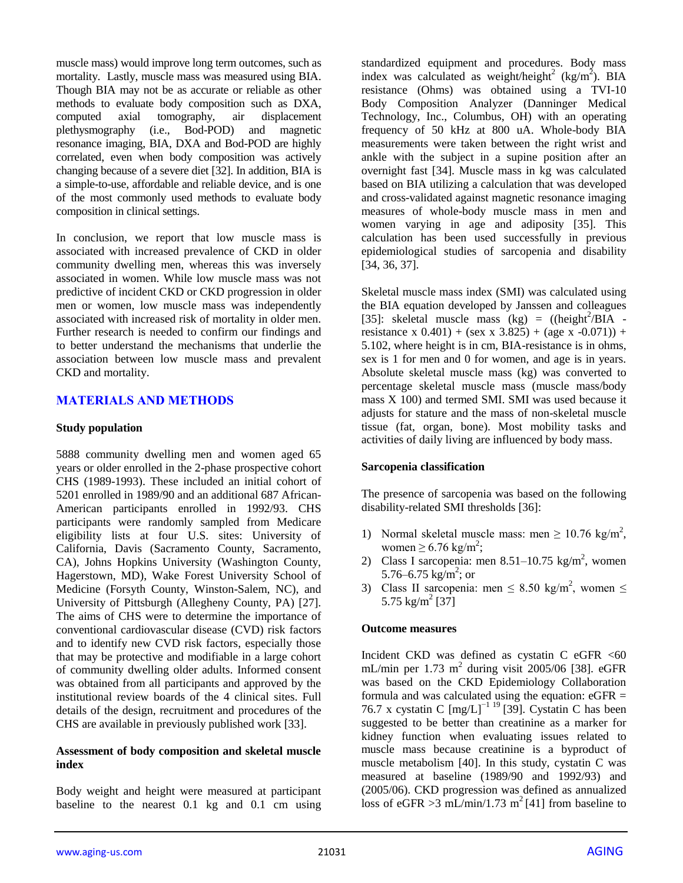muscle mass) would improve long term outcomes, such as mortality. Lastly, muscle mass was measured using BIA. Though BIA may not be as accurate or reliable as other methods to evaluate body composition such as DXA, computed axial tomography, air displacement plethysmography (i.e., Bod-POD) and magnetic resonance imaging, BIA, DXA and Bod-POD are highly correlated, even when body composition was actively changing because of a severe diet [32]. In addition, BIA is a simple-to-use, affordable and reliable device, and is one of the most commonly used methods to evaluate body composition in clinical settings.

In conclusion, we report that low muscle mass is associated with increased prevalence of CKD in older community dwelling men, whereas this was inversely associated in women. While low muscle mass was not predictive of incident CKD or CKD progression in older men or women, low muscle mass was independently associated with increased risk of mortality in older men. Further research is needed to confirm our findings and to better understand the mechanisms that underlie the association between low muscle mass and prevalent CKD and mortality.

# **MATERIALS AND METHODS**

#### **Study population**

5888 community dwelling men and women aged 65 years or older enrolled in the 2-phase prospective cohort CHS (1989-1993). These included an initial cohort of 5201 enrolled in 1989/90 and an additional 687 African-American participants enrolled in 1992/93. CHS participants were randomly sampled from Medicare eligibility lists at four U.S. sites: University of California, Davis (Sacramento County, Sacramento, CA), Johns Hopkins University (Washington County, Hagerstown, MD), Wake Forest University School of Medicine (Forsyth County, Winston-Salem, NC), and University of Pittsburgh (Allegheny County, PA) [27]. The aims of CHS were to determine the importance of conventional cardiovascular disease (CVD) risk factors and to identify new CVD risk factors, especially those that may be protective and modifiable in a large cohort of community dwelling older adults. Informed consent was obtained from all participants and approved by the institutional review boards of the 4 clinical sites. Full details of the design, recruitment and procedures of the CHS are available in previously published work [33].

#### **Assessment of body composition and skeletal muscle index**

Body weight and height were measured at participant baseline to the nearest 0.1 kg and 0.1 cm using standardized equipment and procedures. Body mass index was calculated as weight/height<sup>2</sup> (kg/m<sup>2</sup>). BIA resistance (Ohms) was obtained using a TVI-10 Body Composition Analyzer (Danninger Medical Technology, Inc., Columbus, OH) with an operating frequency of 50 kHz at 800 uA. Whole-body BIA measurements were taken between the right wrist and ankle with the subject in a supine position after an overnight fast [34]. Muscle mass in kg was calculated based on BIA utilizing a calculation that was developed and cross-validated against magnetic resonance imaging measures of whole-body muscle mass in men and women varying in age and adiposity [35]. This calculation has been used successfully in previous epidemiological studies of sarcopenia and disability [34, 36, 37].

Skeletal muscle mass index (SMI) was calculated using the BIA equation developed by Janssen and colleagues [35]: skeletal muscle mass  $(kg) = ((height<sup>2</sup>/BIA$ resistance x  $0.401$ ) + (sex x 3.825) + (age x -0.071)) + 5.102, where height is in cm, BIA-resistance is in ohms, sex is 1 for men and 0 for women, and age is in years. Absolute skeletal muscle mass (kg) was converted to percentage skeletal muscle mass (muscle mass/body mass X 100) and termed SMI. SMI was used because it adjusts for stature and the mass of non-skeletal muscle tissue (fat, organ, bone). Most mobility tasks and activities of daily living are influenced by body mass.

## **Sarcopenia classification**

The presence of sarcopenia was based on the following disability-related SMI thresholds [36]:

- 1) Normal skeletal muscle mass: men  $\geq 10.76$  kg/m<sup>2</sup>, women  $\geq 6.76 \text{ kg/m}^2$ ;
- 2) Class I sarcopenia: men  $8.51-10.75$  kg/m<sup>2</sup>, women 5.76–6.75  $\text{kg/m}^2$ ; or
- 3) Class II sarcopenia: men  $\leq 8.50 \text{ kg/m}^2$ , women  $\leq$ 5.75 kg/m<sup>2</sup> [37]

#### **Outcome measures**

Incident CKD was defined as cystatin C eGFR  $<$  60 mL/min per 1.73 m<sup>2</sup> during visit 2005/06 [38]. eGFR was based on the CKD Epidemiology Collaboration formula and was calculated using the equation:  $eGFR =$ 76.7 x cystatin C [mg/L]−1 19 [39]. Cystatin C has been suggested to be better than creatinine as a marker for kidney function when evaluating issues related to muscle mass because creatinine is a byproduct of muscle metabolism [40]. In this study, cystatin C was measured at baseline (1989/90 and 1992/93) and (2005/06). CKD progression was defined as annualized loss of eGFR  $>3$  mL/min/1.73 m<sup>2</sup>[41] from baseline to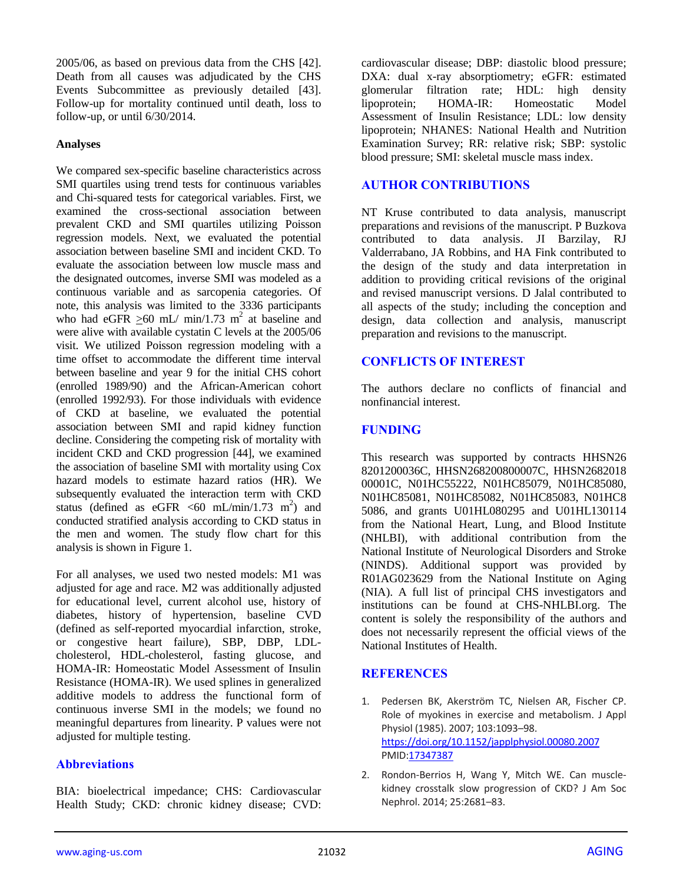2005/06, as based on previous data from the CHS [42]. Death from all causes was adjudicated by the CHS Events Subcommittee as previously detailed [43]. Follow-up for mortality continued until death, loss to follow-up, or until 6/30/2014.

## **Analyses**

We compared sex-specific baseline characteristics across SMI quartiles using trend tests for continuous variables and Chi-squared tests for categorical variables. First, we examined the cross-sectional association between prevalent CKD and SMI quartiles utilizing Poisson regression models. Next, we evaluated the potential association between baseline SMI and incident CKD. To evaluate the association between low muscle mass and the designated outcomes, inverse SMI was modeled as a continuous variable and as sarcopenia categories. Of note, this analysis was limited to the 3336 participants who had eGFR  $\geq 60$  mL/ min/1.73 m<sup>2</sup> at baseline and were alive with available cystatin C levels at the 2005/06 visit. We utilized Poisson regression modeling with a time offset to accommodate the different time interval between baseline and year 9 for the initial CHS cohort (enrolled 1989/90) and the African-American cohort (enrolled 1992/93). For those individuals with evidence of CKD at baseline, we evaluated the potential association between SMI and rapid kidney function decline. Considering the competing risk of mortality with incident CKD and CKD progression [44], we examined the association of baseline SMI with mortality using Cox hazard models to estimate hazard ratios (HR). We subsequently evaluated the interaction term with CKD status (defined as eGFR  $\leq 60$  mL/min/1.73 m<sup>2</sup>) and conducted stratified analysis according to CKD status in the men and women. The study flow chart for this analysis is shown in Figure 1.

For all analyses, we used two nested models: M1 was adjusted for age and race. M2 was additionally adjusted for educational level, current alcohol use, history of diabetes, history of hypertension, baseline CVD (defined as self-reported myocardial infarction, stroke, or congestive heart failure), SBP, DBP, LDLcholesterol, HDL-cholesterol, fasting glucose, and HOMA-IR: Homeostatic Model Assessment of Insulin Resistance (HOMA-IR). We used splines in generalized additive models to address the functional form of continuous inverse SMI in the models; we found no meaningful departures from linearity. P values were not adjusted for multiple testing.

# **Abbreviations**

BIA: bioelectrical impedance; CHS: Cardiovascular Health Study; CKD: chronic kidney disease; CVD: cardiovascular disease; DBP: diastolic blood pressure; DXA: dual x-ray absorptiometry; eGFR: estimated glomerular filtration rate; HDL: high density lipoprotein; HOMA-IR: Homeostatic Model Assessment of Insulin Resistance; LDL: low density lipoprotein; NHANES: National Health and Nutrition Examination Survey; RR: relative risk; SBP: systolic blood pressure; SMI: skeletal muscle mass index.

## **AUTHOR CONTRIBUTIONS**

NT Kruse contributed to data analysis, manuscript preparations and revisions of the manuscript. P Buzkova contributed to data analysis. JI Barzilay, RJ Valderrabano, JA Robbins, and HA Fink contributed to the design of the study and data interpretation in addition to providing critical revisions of the original and revised manuscript versions. D Jalal contributed to all aspects of the study; including the conception and design, data collection and analysis, manuscript preparation and revisions to the manuscript.

## **CONFLICTS OF INTEREST**

The authors declare no conflicts of financial and nonfinancial interest.

## **FUNDING**

This research was supported by contracts HHSN26 8201200036C, HHSN268200800007C, HHSN2682018 00001C, N01HC55222, N01HC85079, N01HC85080, N01HC85081, N01HC85082, N01HC85083, N01HC8 5086, and grants U01HL080295 and U01HL130114 from the National Heart, Lung, and Blood Institute (NHLBI), with additional contribution from the National Institute of Neurological Disorders and Stroke (NINDS). Additional support was provided by R01AG023629 from the National Institute on Aging (NIA). A full list of principal CHS investigators and institutions can be found at CHS-NHLBI.org. The content is solely the responsibility of the authors and does not necessarily represent the official views of the National Institutes of Health.

## **REFERENCES**

- 1. Pedersen BK, Akerström TC, Nielsen AR, Fischer CP. Role of myokines in exercise and metabolism. J Appl Physiol (1985). 2007; 103:1093–98. <https://doi.org/10.1152/japplphysiol.00080.2007> PMI[D:17347387](https://pubmed.ncbi.nlm.nih.gov/17347387)
- 2. Rondon-Berrios H, Wang Y, Mitch WE. Can musclekidney crosstalk slow progression of CKD? J Am Soc Nephrol. 2014; 25:2681–83.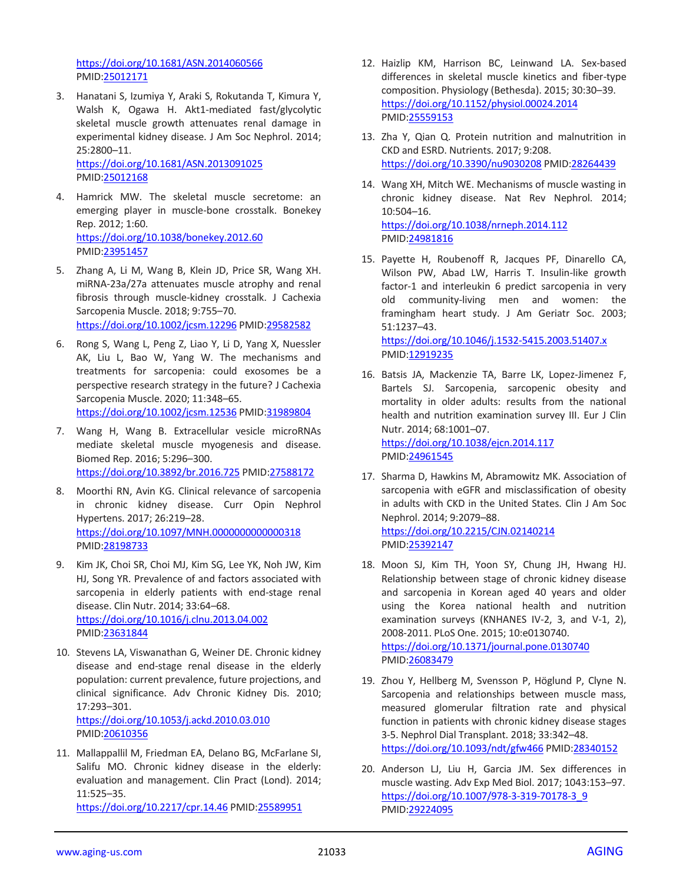<https://doi.org/10.1681/ASN.2014060566> PMID[:25012171](https://pubmed.ncbi.nlm.nih.gov/25012171)

3. Hanatani S, Izumiya Y, Araki S, Rokutanda T, Kimura Y, Walsh K, Ogawa H. Akt1-mediated fast/glycolytic skeletal muscle growth attenuates renal damage in experimental kidney disease. J Am Soc Nephrol. 2014; 25:2800–11.

<https://doi.org/10.1681/ASN.2013091025> PMID[:25012168](https://pubmed.ncbi.nlm.nih.gov/25012168)

- 4. Hamrick MW. The skeletal muscle secretome: an emerging player in muscle-bone crosstalk. Bonekey Rep. 2012; 1:60. <https://doi.org/10.1038/bonekey.2012.60> PMID[:23951457](https://pubmed.ncbi.nlm.nih.gov/23951457)
- 5. Zhang A, Li M, Wang B, Klein JD, Price SR, Wang XH. miRNA-23a/27a attenuates muscle atrophy and renal fibrosis through muscle-kidney crosstalk. J Cachexia Sarcopenia Muscle. 2018; 9:755–70. <https://doi.org/10.1002/jcsm.12296> PMID[:29582582](https://pubmed.ncbi.nlm.nih.gov/29582582)
- 6. Rong S, Wang L, Peng Z, Liao Y, Li D, Yang X, Nuessler AK, Liu L, Bao W, Yang W. The mechanisms and treatments for sarcopenia: could exosomes be a perspective research strategy in the future? J Cachexia Sarcopenia Muscle. 2020; 11:348–65. <https://doi.org/10.1002/jcsm.12536> PMID[:31989804](https://pubmed.ncbi.nlm.nih.gov/31989804)
- 7. Wang H, Wang B. Extracellular vesicle microRNAs mediate skeletal muscle myogenesis and disease. Biomed Rep. 2016; 5:296–300. <https://doi.org/10.3892/br.2016.725> PMID[:27588172](https://pubmed.ncbi.nlm.nih.gov/27588172)
- 8. Moorthi RN, Avin KG. Clinical relevance of sarcopenia in chronic kidney disease. Curr Opin Nephrol Hypertens. 2017; 26:219–28. <https://doi.org/10.1097/MNH.0000000000000318> PMID[:28198733](https://pubmed.ncbi.nlm.nih.gov/28198733)
- 9. Kim JK, Choi SR, Choi MJ, Kim SG, Lee YK, Noh JW, Kim HJ, Song YR. Prevalence of and factors associated with sarcopenia in elderly patients with end-stage renal disease. Clin Nutr. 2014; 33:64–68. <https://doi.org/10.1016/j.clnu.2013.04.002> PMID[:23631844](https://pubmed.ncbi.nlm.nih.gov/23631844)
- 10. Stevens LA, Viswanathan G, Weiner DE. Chronic kidney disease and end-stage renal disease in the elderly population: current prevalence, future projections, and clinical significance. Adv Chronic Kidney Dis. 2010; 17:293–301. <https://doi.org/10.1053/j.ackd.2010.03.010> PMID[:20610356](https://pubmed.ncbi.nlm.nih.gov/20610356)
- 11. Mallappallil M, Friedman EA, Delano BG, McFarlane SI, Salifu MO. Chronic kidney disease in the elderly: evaluation and management. Clin Pract (Lond). 2014; 11:525–35.

<https://doi.org/10.2217/cpr.14.46> PMID[:25589951](https://pubmed.ncbi.nlm.nih.gov/25589951)

- 12. Haizlip KM, Harrison BC, Leinwand LA. Sex-based differences in skeletal muscle kinetics and fiber-type composition. Physiology (Bethesda). 2015; 30:30–39. <https://doi.org/10.1152/physiol.00024.2014> PMI[D:25559153](https://pubmed.ncbi.nlm.nih.gov/25559153)
- 13. Zha Y, Qian Q. Protein nutrition and malnutrition in CKD and ESRD. Nutrients. 2017; 9:208. <https://doi.org/10.3390/nu9030208> PMID[:28264439](https://pubmed.ncbi.nlm.nih.gov/28264439)
- 14. Wang XH, Mitch WE. Mechanisms of muscle wasting in chronic kidney disease. Nat Rev Nephrol. 2014; 10:504–16. <https://doi.org/10.1038/nrneph.2014.112> PMI[D:24981816](https://pubmed.ncbi.nlm.nih.gov/24981816)
- 15. Payette H, Roubenoff R, Jacques PF, Dinarello CA, Wilson PW, Abad LW, Harris T. Insulin-like growth factor-1 and interleukin 6 predict sarcopenia in very old community-living men and women: the framingham heart study. J Am Geriatr Soc. 2003; 51:1237–43.

<https://doi.org/10.1046/j.1532-5415.2003.51407.x> PMI[D:12919235](https://pubmed.ncbi.nlm.nih.gov/12919235)

- 16. Batsis JA, Mackenzie TA, Barre LK, Lopez-Jimenez F, Bartels SJ. Sarcopenia, sarcopenic obesity and mortality in older adults: results from the national health and nutrition examination survey III. Eur J Clin Nutr. 2014; 68:1001–07. <https://doi.org/10.1038/ejcn.2014.117> PMI[D:24961545](https://pubmed.ncbi.nlm.nih.gov/24961545)
- 17. Sharma D, Hawkins M, Abramowitz MK. Association of sarcopenia with eGFR and misclassification of obesity in adults with CKD in the United States. Clin J Am Soc Nephrol. 2014; 9:2079–88. <https://doi.org/10.2215/CJN.02140214> PMI[D:25392147](https://pubmed.ncbi.nlm.nih.gov/25392147)
- 18. Moon SJ, Kim TH, Yoon SY, Chung JH, Hwang HJ. Relationship between stage of chronic kidney disease and sarcopenia in Korean aged 40 years and older using the Korea national health and nutrition examination surveys (KNHANES IV-2, 3, and V-1, 2), 2008-2011. PLoS One. 2015; 10:e0130740. <https://doi.org/10.1371/journal.pone.0130740> PMI[D:26083479](https://pubmed.ncbi.nlm.nih.gov/26083479)
- 19. Zhou Y, Hellberg M, Svensson P, Höglund P, Clyne N. Sarcopenia and relationships between muscle mass, measured glomerular filtration rate and physical function in patients with chronic kidney disease stages 3-5. Nephrol Dial Transplant. 2018; 33:342–48. <https://doi.org/10.1093/ndt/gfw466> PMID[:28340152](https://pubmed.ncbi.nlm.nih.gov/28340152)
- 20. Anderson LJ, Liu H, Garcia JM. Sex differences in muscle wasting. Adv Exp Med Biol. 2017; 1043:153–97. [https://doi.org/10.1007/978-3-319-70178-3\\_9](https://doi.org/10.1007/978-3-319-70178-3_9) PMI[D:29224095](https://pubmed.ncbi.nlm.nih.gov/29224095)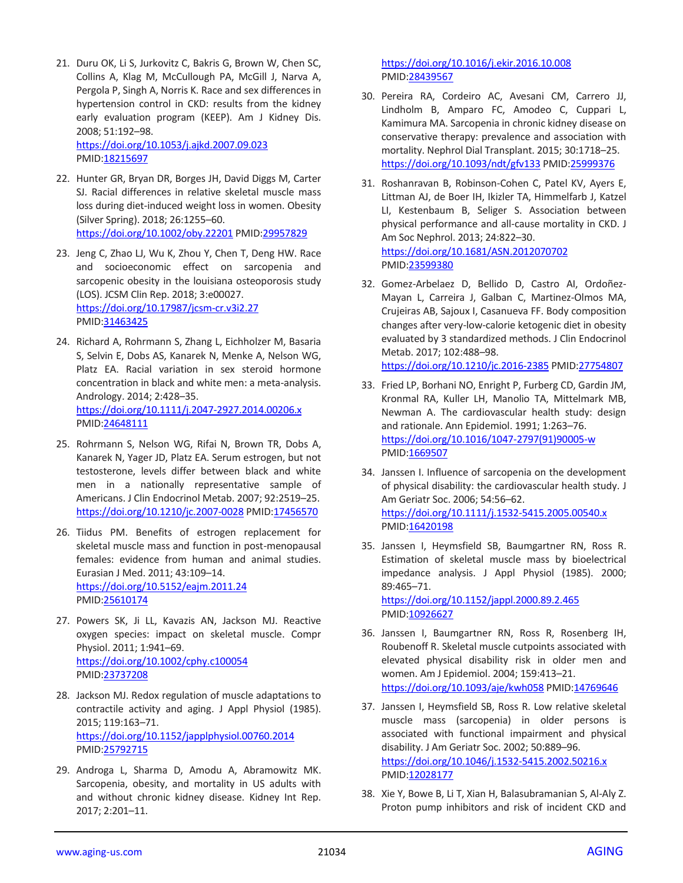21. Duru OK, Li S, Jurkovitz C, Bakris G, Brown W, Chen SC, Collins A, Klag M, McCullough PA, McGill J, Narva A, Pergola P, Singh A, Norris K. Race and sex differences in hypertension control in CKD: results from the kidney early evaluation program (KEEP). Am J Kidney Dis. 2008; 51:192–98.

<https://doi.org/10.1053/j.ajkd.2007.09.023> PMID[:18215697](https://pubmed.ncbi.nlm.nih.gov/18215697)

- 22. Hunter GR, Bryan DR, Borges JH, David Diggs M, Carter SJ. Racial differences in relative skeletal muscle mass loss during diet-induced weight loss in women. Obesity (Silver Spring). 2018; 26:1255–60. <https://doi.org/10.1002/oby.22201> PMI[D:29957829](https://pubmed.ncbi.nlm.nih.gov/29957829)
- 23. Jeng C, Zhao LJ, Wu K, Zhou Y, Chen T, Deng HW. Race and socioeconomic effect on sarcopenia and sarcopenic obesity in the louisiana osteoporosis study (LOS). JCSM Clin Rep. 2018; 3:e00027. <https://doi.org/10.17987/jcsm-cr.v3i2.27> PMID[:31463425](https://pubmed.ncbi.nlm.nih.gov/31463425)
- 24. Richard A, Rohrmann S, Zhang L, Eichholzer M, Basaria S, Selvin E, Dobs AS, Kanarek N, Menke A, Nelson WG, Platz EA. Racial variation in sex steroid hormone concentration in black and white men: a meta-analysis. Andrology. 2014; 2:428–35. <https://doi.org/10.1111/j.2047-2927.2014.00206.x> PMID[:24648111](https://pubmed.ncbi.nlm.nih.gov/24648111)
- 25. Rohrmann S, Nelson WG, Rifai N, Brown TR, Dobs A, Kanarek N, Yager JD, Platz EA. Serum estrogen, but not testosterone, levels differ between black and white men in a nationally representative sample of Americans. J Clin Endocrinol Metab. 2007; 92:2519–25. <https://doi.org/10.1210/jc.2007-0028> PMID[:17456570](https://pubmed.ncbi.nlm.nih.gov/17456570)
- 26. Tiidus PM. Benefits of estrogen replacement for skeletal muscle mass and function in post-menopausal females: evidence from human and animal studies. Eurasian J Med. 2011; 43:109–14. <https://doi.org/10.5152/eajm.2011.24> PMID[:25610174](https://pubmed.ncbi.nlm.nih.gov/25610174)
- 27. Powers SK, Ji LL, Kavazis AN, Jackson MJ. Reactive oxygen species: impact on skeletal muscle. Compr Physiol. 2011; 1:941–69. <https://doi.org/10.1002/cphy.c100054> PMID[:23737208](https://pubmed.ncbi.nlm.nih.gov/23737208)
- 28. Jackson MJ. Redox regulation of muscle adaptations to contractile activity and aging. J Appl Physiol (1985). 2015; 119:163–71. <https://doi.org/10.1152/japplphysiol.00760.2014> PMID[:25792715](https://pubmed.ncbi.nlm.nih.gov/25792715)
- 29. Androga L, Sharma D, Amodu A, Abramowitz MK. Sarcopenia, obesity, and mortality in US adults with and without chronic kidney disease. Kidney Int Rep. 2017; 2:201–11.

<https://doi.org/10.1016/j.ekir.2016.10.008> PMI[D:28439567](https://pubmed.ncbi.nlm.nih.gov/28439567)

- 30. Pereira RA, Cordeiro AC, Avesani CM, Carrero JJ, Lindholm B, Amparo FC, Amodeo C, Cuppari L, Kamimura MA. Sarcopenia in chronic kidney disease on conservative therapy: prevalence and association with mortality. Nephrol Dial Transplant. 2015; 30:1718–25. <https://doi.org/10.1093/ndt/gfv133> PMI[D:25999376](https://pubmed.ncbi.nlm.nih.gov/25999376)
- 31. Roshanravan B, Robinson-Cohen C, Patel KV, Ayers E, Littman AJ, de Boer IH, Ikizler TA, Himmelfarb J, Katzel LI, Kestenbaum B, Seliger S. Association between physical performance and all-cause mortality in CKD. J Am Soc Nephrol. 2013; 24:822–30. <https://doi.org/10.1681/ASN.2012070702> PMI[D:23599380](https://pubmed.ncbi.nlm.nih.gov/23599380)
- 32. Gomez-Arbelaez D, Bellido D, Castro AI, Ordoñez-Mayan L, Carreira J, Galban C, Martinez-Olmos MA, Crujeiras AB, Sajoux I, Casanueva FF. Body composition changes after very-low-calorie ketogenic diet in obesity evaluated by 3 standardized methods. J Clin Endocrinol Metab. 2017; 102:488–98. <https://doi.org/10.1210/jc.2016-2385> PMID[:27754807](https://pubmed.ncbi.nlm.nih.gov/27754807)
- 33. Fried LP, Borhani NO, Enright P, Furberg CD, Gardin JM, Kronmal RA, Kuller LH, Manolio TA, Mittelmark MB, Newman A. The cardiovascular health study: design and rationale. Ann Epidemiol. 1991; 1:263–76. [https://doi.org/10.1016/1047-2797\(91\)90005-w](https://doi.org/10.1016/1047-2797(91)90005-w) PMI[D:1669507](https://pubmed.ncbi.nlm.nih.gov/1669507)
- 34. Janssen I. Influence of sarcopenia on the development of physical disability: the cardiovascular health study. J Am Geriatr Soc. 2006; 54:56–62. <https://doi.org/10.1111/j.1532-5415.2005.00540.x> PMI[D:16420198](https://pubmed.ncbi.nlm.nih.gov/16420198)
- 35. Janssen I, Heymsfield SB, Baumgartner RN, Ross R. Estimation of skeletal muscle mass by bioelectrical impedance analysis. J Appl Physiol (1985). 2000; 89:465–71. <https://doi.org/10.1152/jappl.2000.89.2.465> PMID: 10926627
- 36. Janssen I, Baumgartner RN, Ross R, Rosenberg IH, Roubenoff R. Skeletal muscle cutpoints associated with elevated physical disability risk in older men and women. Am J Epidemiol. 2004; 159:413–21. <https://doi.org/10.1093/aje/kwh058> PMI[D:14769646](https://pubmed.ncbi.nlm.nih.gov/14769646)
- 37. Janssen I, Heymsfield SB, Ross R. Low relative skeletal muscle mass (sarcopenia) in older persons is associated with functional impairment and physical disability. J Am Geriatr Soc. 2002; 50:889–96. <https://doi.org/10.1046/j.1532-5415.2002.50216.x> PMI[D:12028177](https://pubmed.ncbi.nlm.nih.gov/12028177)
- 38. Xie Y, Bowe B, Li T, Xian H, Balasubramanian S, Al-Aly Z. Proton pump inhibitors and risk of incident CKD and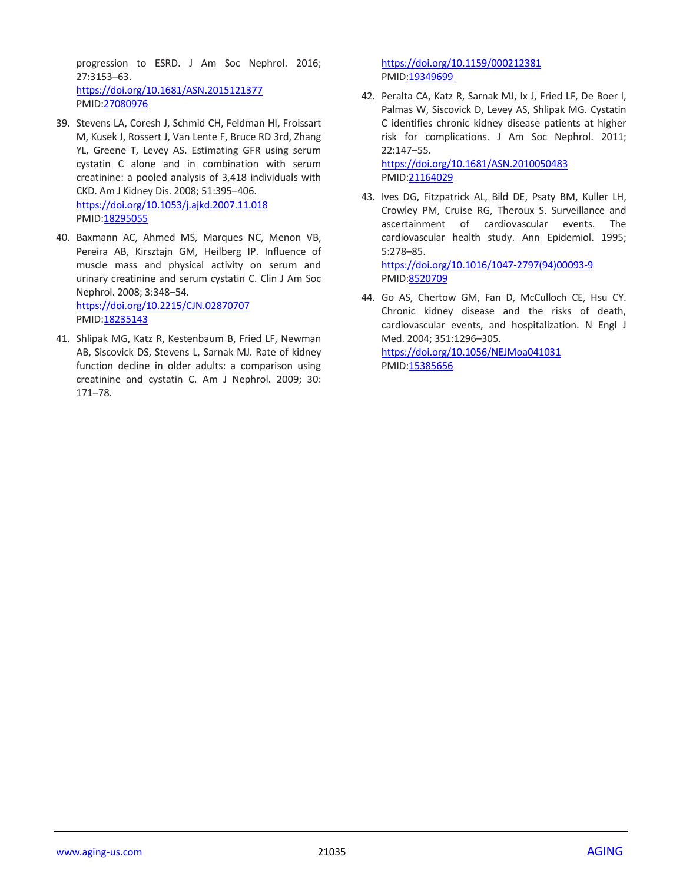progression to ESRD. J Am Soc Nephrol. 2016; 27:3153–63. <https://doi.org/10.1681/ASN.2015121377> PMID[:27080976](https://pubmed.ncbi.nlm.nih.gov/27080976)

- 39. Stevens LA, Coresh J, Schmid CH, Feldman HI, Froissart M, Kusek J, Rossert J, Van Lente F, Bruce RD 3rd, Zhang YL, Greene T, Levey AS. Estimating GFR using serum cystatin C alone and in combination with serum creatinine: a pooled analysis of 3,418 individuals with CKD. Am J Kidney Dis. 2008; 51:395–406. <https://doi.org/10.1053/j.ajkd.2007.11.018> PMID[:18295055](https://pubmed.ncbi.nlm.nih.gov/18295055)
- 40. Baxmann AC, Ahmed MS, Marques NC, Menon VB, Pereira AB, Kirsztajn GM, Heilberg IP. Influence of muscle mass and physical activity on serum and urinary creatinine and serum cystatin C. Clin J Am Soc Nephrol. 2008; 3:348–54. <https://doi.org/10.2215/CJN.02870707> PMID[:18235143](https://pubmed.ncbi.nlm.nih.gov/18235143)
- 41. Shlipak MG, Katz R, Kestenbaum B, Fried LF, Newman AB, Siscovick DS, Stevens L, Sarnak MJ. Rate of kidney function decline in older adults: a comparison using creatinine and cystatin C. Am J Nephrol. 2009; 30: 171–78.

<https://doi.org/10.1159/000212381> PMI[D:19349699](https://pubmed.ncbi.nlm.nih.gov/19349699)

42. Peralta CA, Katz R, Sarnak MJ, Ix J, Fried LF, De Boer I, Palmas W, Siscovick D, Levey AS, Shlipak MG. Cystatin C identifies chronic kidney disease patients at higher risk for complications. J Am Soc Nephrol. 2011; 22:147–55.

<https://doi.org/10.1681/ASN.2010050483> PMI[D:21164029](https://pubmed.ncbi.nlm.nih.gov/21164029)

43. Ives DG, Fitzpatrick AL, Bild DE, Psaty BM, Kuller LH, Crowley PM, Cruise RG, Theroux S. Surveillance and ascertainment of cardiovascular events. The cardiovascular health study. Ann Epidemiol. 1995; 5:278–85.

[https://doi.org/10.1016/1047-2797\(94\)00093-9](https://doi.org/10.1016/1047-2797(94)00093-9) PMI[D:8520709](https://pubmed.ncbi.nlm.nih.gov/8520709)

44. Go AS, Chertow GM, Fan D, McCulloch CE, Hsu CY. Chronic kidney disease and the risks of death, cardiovascular events, and hospitalization. N Engl J Med. 2004; 351:1296–305. <https://doi.org/10.1056/NEJMoa041031> PMI[D:15385656](https://pubmed.ncbi.nlm.nih.gov/15385656)